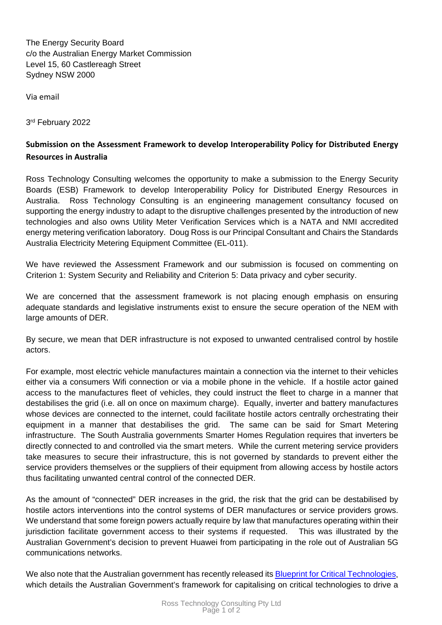The Energy Security Board c/o the Australian Energy Market Commission Level 15, 60 Castlereagh Street Sydney NSW 2000

Via email

3rd February 2022

## **Submission on the Assessment Framework to develop Interoperability Policy for Distributed Energy Resources in Australia**

Ross Technology Consulting welcomes the opportunity to make a submission to the Energy Security Boards (ESB) Framework to develop Interoperability Policy for Distributed Energy Resources in Australia. Ross Technology Consulting is an engineering management consultancy focused on supporting the energy industry to adapt to the disruptive challenges presented by the introduction of new technologies and also owns [Utility Meter Verification Services](https://www.umvs.com.au/) which is a [NATA](https://nata.com.au/) and [NMI](https://www.industry.gov.au/regulations-and-standards/australias-measurement-system/utility-meter-verifiers) accredited energy metering verification laboratory. Doug Ross is our Principal Consultant and Chairs the Standards Australia Electricity Metering Equipment Committee (EL-011).

We have reviewed the Assessment Framework and our submission is focused on commenting on Criterion 1: System Security and Reliability and Criterion 5: Data privacy and cyber security.

We are concerned that the assessment framework is not placing enough emphasis on ensuring adequate standards and legislative instruments exist to ensure the secure operation of the NEM with large amounts of DER.

By secure, we mean that DER infrastructure is not exposed to unwanted centralised control by hostile actors.

For example, most electric vehicle manufactures maintain a connection via the internet to their vehicles either via a consumers Wifi connection or via a mobile phone in the vehicle. If a hostile actor gained access to the manufactures fleet of vehicles, they could instruct the fleet to charge in a manner that destabilises the grid (i.e. all on once on maximum charge). Equally, inverter and battery manufactures whose devices are connected to the internet, could facilitate hostile actors centrally orchestrating their equipment in a manner that destabilises the grid. The same can be said for Smart Metering infrastructure. The South Australia governments Smarter Homes Regulation requires that inverters be directly connected to and controlled via the smart meters. While the current metering service providers take measures to secure their infrastructure, this is not governed by standards to prevent either the service providers themselves or the suppliers of their equipment from allowing access by hostile actors thus facilitating unwanted central control of the connected DER.

As the amount of "connected" DER increases in the grid, the risk that the grid can be destabilised by hostile actors interventions into the control systems of DER manufactures or service providers grows. We understand that some foreign powers actually require by law that manufactures operating within their jurisdiction facilitate government access to their systems if requested. This was illustrated by the Australian Government's decision to prevent Huawei from participating in the role out of Australian 5G communications networks.

We also note that the Australian government has recently released its Blueprint for Critical [Technologies,](https://www.pmc.gov.au/resource-centre/domestic-policy/blueprint-critical-technologies) which details the Australian Government's framework for capitalising on critical technologies to drive a